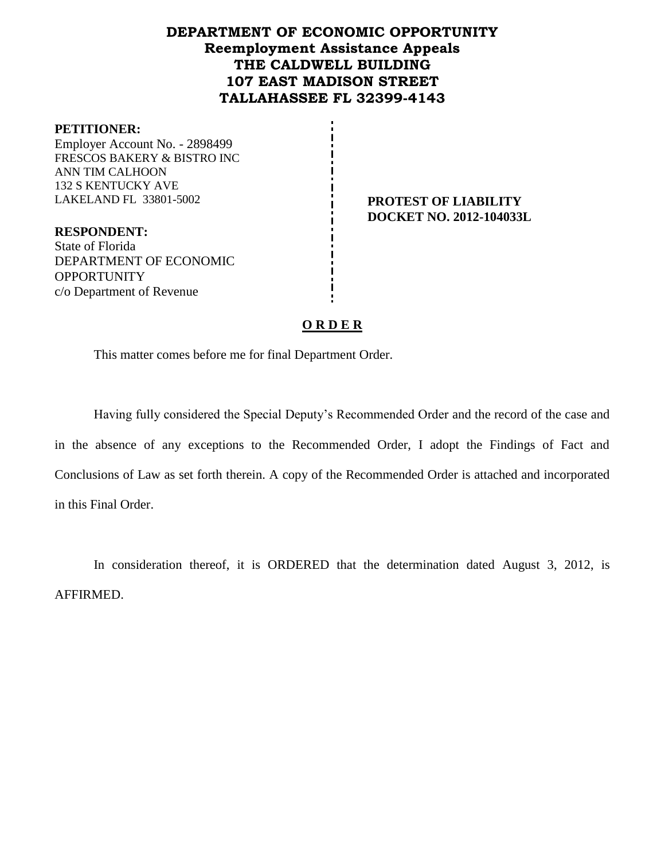# **DEPARTMENT OF ECONOMIC OPPORTUNITY Reemployment Assistance Appeals THE CALDWELL BUILDING 107 EAST MADISON STREET TALLAHASSEE FL 32399-4143**

#### **PETITIONER:**

Employer Account No. - 2898499 FRESCOS BAKERY & BISTRO INC ANN TIM CALHOON 132 S KENTUCKY AVE LAKELAND FL 33801-5002 **PROTEST OF LIABILITY**

**DOCKET NO. 2012-104033L**

**RESPONDENT:** State of Florida DEPARTMENT OF ECONOMIC **OPPORTUNITY** c/o Department of Revenue

#### **O R D E R**

This matter comes before me for final Department Order.

Having fully considered the Special Deputy's Recommended Order and the record of the case and in the absence of any exceptions to the Recommended Order, I adopt the Findings of Fact and Conclusions of Law as set forth therein. A copy of the Recommended Order is attached and incorporated in this Final Order.

In consideration thereof, it is ORDERED that the determination dated August 3, 2012, is AFFIRMED.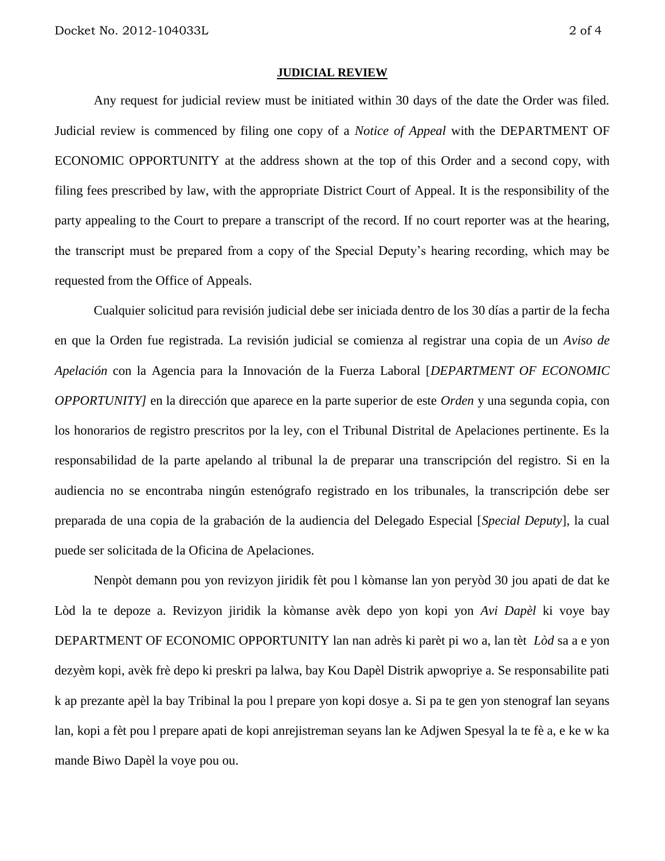#### **JUDICIAL REVIEW**

Any request for judicial review must be initiated within 30 days of the date the Order was filed. Judicial review is commenced by filing one copy of a *Notice of Appeal* with the DEPARTMENT OF ECONOMIC OPPORTUNITY at the address shown at the top of this Order and a second copy, with filing fees prescribed by law, with the appropriate District Court of Appeal. It is the responsibility of the party appealing to the Court to prepare a transcript of the record. If no court reporter was at the hearing, the transcript must be prepared from a copy of the Special Deputy's hearing recording, which may be requested from the Office of Appeals.

Cualquier solicitud para revisión judicial debe ser iniciada dentro de los 30 días a partir de la fecha en que la Orden fue registrada. La revisión judicial se comienza al registrar una copia de un *Aviso de Apelación* con la Agencia para la Innovación de la Fuerza Laboral [*DEPARTMENT OF ECONOMIC OPPORTUNITY]* en la dirección que aparece en la parte superior de este *Orden* y una segunda copia, con los honorarios de registro prescritos por la ley, con el Tribunal Distrital de Apelaciones pertinente. Es la responsabilidad de la parte apelando al tribunal la de preparar una transcripción del registro. Si en la audiencia no se encontraba ningún estenógrafo registrado en los tribunales, la transcripción debe ser preparada de una copia de la grabación de la audiencia del Delegado Especial [*Special Deputy*], la cual puede ser solicitada de la Oficina de Apelaciones.

Nenpòt demann pou yon revizyon jiridik fèt pou l kòmanse lan yon peryòd 30 jou apati de dat ke Lòd la te depoze a. Revizyon jiridik la kòmanse avèk depo yon kopi yon *Avi Dapèl* ki voye bay DEPARTMENT OF ECONOMIC OPPORTUNITY lan nan adrès ki parèt pi wo a, lan tèt *Lòd* sa a e yon dezyèm kopi, avèk frè depo ki preskri pa lalwa, bay Kou Dapèl Distrik apwopriye a. Se responsabilite pati k ap prezante apèl la bay Tribinal la pou l prepare yon kopi dosye a. Si pa te gen yon stenograf lan seyans lan, kopi a fèt pou l prepare apati de kopi anrejistreman seyans lan ke Adjwen Spesyal la te fè a, e ke w ka mande Biwo Dapèl la voye pou ou.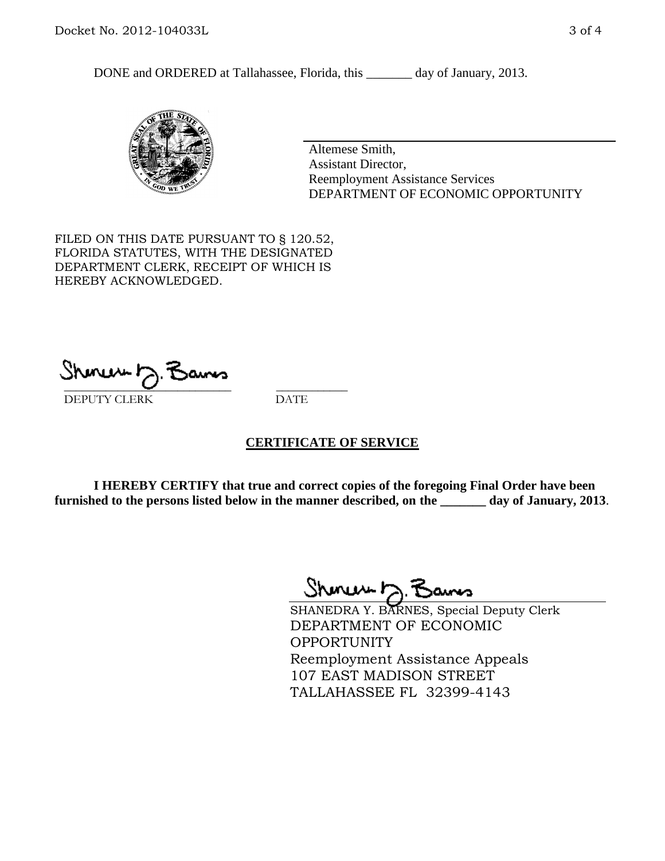DONE and ORDERED at Tallahassee, Florida, this \_\_\_\_\_\_\_ day of January, 2013.



Altemese Smith, Assistant Director, Reemployment Assistance Services DEPARTMENT OF ECONOMIC OPPORTUNITY

FILED ON THIS DATE PURSUANT TO § 120.52, FLORIDA STATUTES, WITH THE DESIGNATED DEPARTMENT CLERK, RECEIPT OF WHICH IS HEREBY ACKNOWLEDGED.

 $\overline{\phantom{a}}$  ,  $\overline{\phantom{a}}$  ,  $\overline{\phantom{a}}$  ,  $\overline{\phantom{a}}$  ,  $\overline{\phantom{a}}$  ,  $\overline{\phantom{a}}$  ,  $\overline{\phantom{a}}$  ,  $\overline{\phantom{a}}$ DEPUTY CLERK DATE

## **CERTIFICATE OF SERVICE**

**I HEREBY CERTIFY that true and correct copies of the foregoing Final Order have been furnished to the persons listed below in the manner described, on the \_\_\_\_\_\_\_ day of January, 2013**.

 $Shmum \sim 7$ 

SHANEDRA Y. BARNES, Special Deputy Clerk DEPARTMENT OF ECONOMIC **OPPORTUNITY** Reemployment Assistance Appeals 107 EAST MADISON STREET TALLAHASSEE FL 32399-4143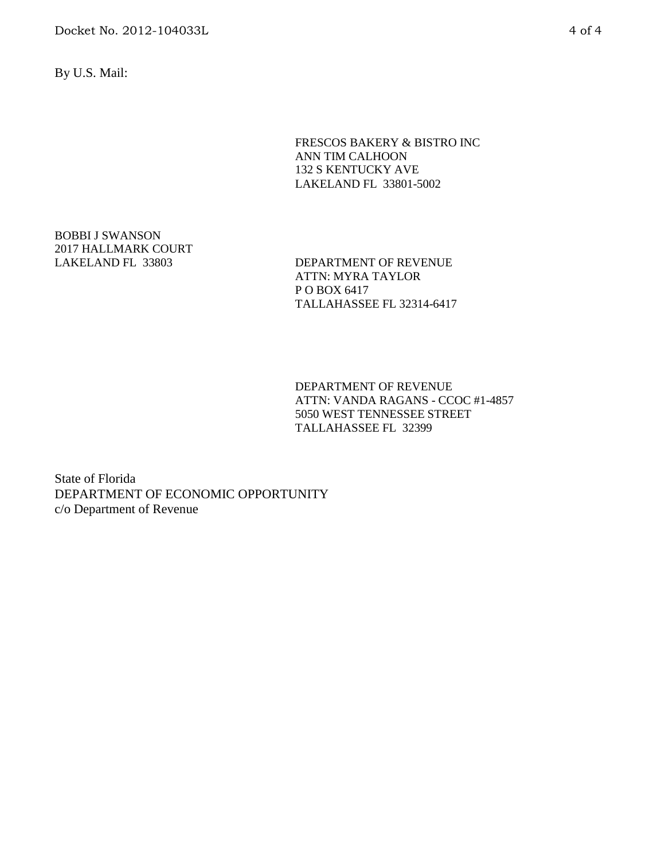By U.S. Mail:

FRESCOS BAKERY & BISTRO INC ANN TIM CALHOON 132 S KENTUCKY AVE LAKELAND FL 33801-5002

BOBBI J SWANSON 2017 HALLMARK COURT

LAKELAND FL 33803 DEPARTMENT OF REVENUE ATTN: MYRA TAYLOR P O BOX 6417 TALLAHASSEE FL 32314-6417

> DEPARTMENT OF REVENUE ATTN: VANDA RAGANS - CCOC #1-4857 5050 WEST TENNESSEE STREET TALLAHASSEE FL 32399

State of Florida DEPARTMENT OF ECONOMIC OPPORTUNITY c/o Department of Revenue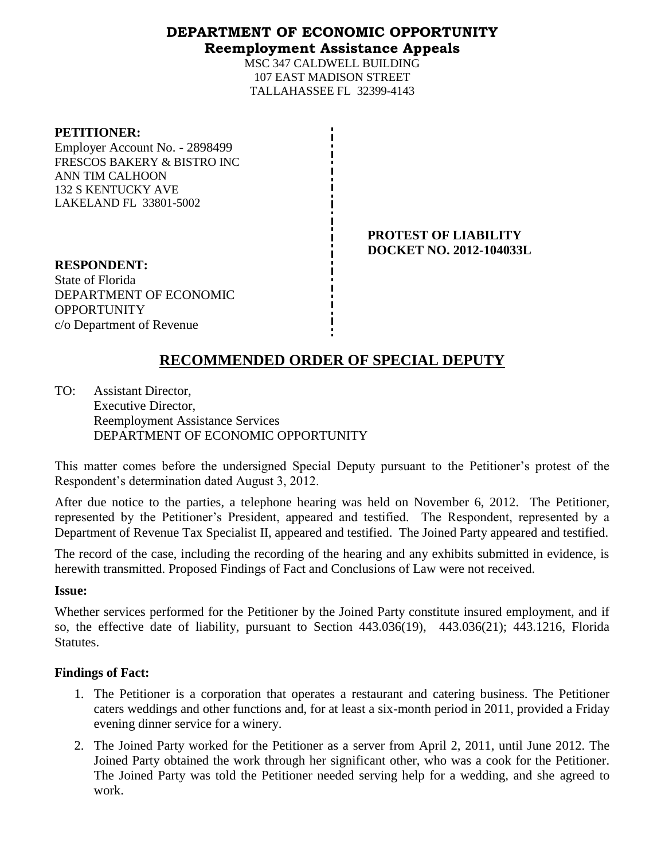## **DEPARTMENT OF ECONOMIC OPPORTUNITY Reemployment Assistance Appeals**

MSC 347 CALDWELL BUILDING 107 EAST MADISON STREET TALLAHASSEE FL 32399-4143

#### **PETITIONER:**

Employer Account No. - 2898499 FRESCOS BAKERY & BISTRO INC ANN TIM CALHOON 132 S KENTUCKY AVE LAKELAND FL 33801-5002

> **PROTEST OF LIABILITY DOCKET NO. 2012-104033L**

**RESPONDENT:** State of Florida DEPARTMENT OF ECONOMIC **OPPORTUNITY** c/o Department of Revenue

# **RECOMMENDED ORDER OF SPECIAL DEPUTY**

TO: Assistant Director, Executive Director, Reemployment Assistance Services DEPARTMENT OF ECONOMIC OPPORTUNITY

This matter comes before the undersigned Special Deputy pursuant to the Petitioner's protest of the Respondent's determination dated August 3, 2012.

After due notice to the parties, a telephone hearing was held on November 6, 2012. The Petitioner, represented by the Petitioner's President, appeared and testified. The Respondent, represented by a Department of Revenue Tax Specialist II, appeared and testified. The Joined Party appeared and testified.

The record of the case, including the recording of the hearing and any exhibits submitted in evidence, is herewith transmitted. Proposed Findings of Fact and Conclusions of Law were not received.

#### **Issue:**

Whether services performed for the Petitioner by the Joined Party constitute insured employment, and if so, the effective date of liability, pursuant to Section 443.036(19), 443.036(21); 443.1216, Florida Statutes.

## **Findings of Fact:**

- 1. The Petitioner is a corporation that operates a restaurant and catering business. The Petitioner caters weddings and other functions and, for at least a six-month period in 2011, provided a Friday evening dinner service for a winery.
- 2. The Joined Party worked for the Petitioner as a server from April 2, 2011, until June 2012. The Joined Party obtained the work through her significant other, who was a cook for the Petitioner. The Joined Party was told the Petitioner needed serving help for a wedding, and she agreed to work.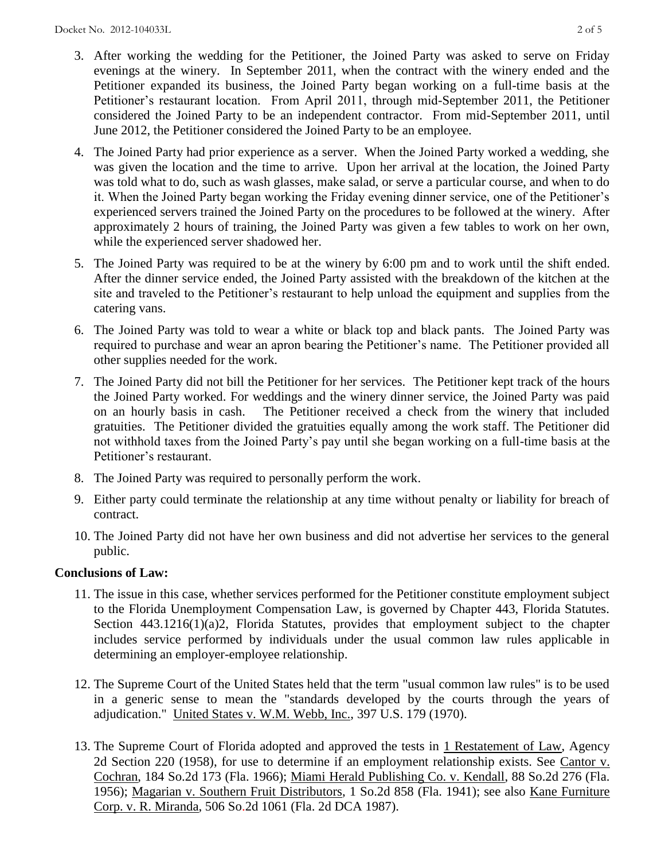- 3. After working the wedding for the Petitioner, the Joined Party was asked to serve on Friday evenings at the winery. In September 2011, when the contract with the winery ended and the Petitioner expanded its business, the Joined Party began working on a full-time basis at the Petitioner's restaurant location. From April 2011, through mid-September 2011, the Petitioner considered the Joined Party to be an independent contractor. From mid-September 2011, until June 2012, the Petitioner considered the Joined Party to be an employee.
- 4. The Joined Party had prior experience as a server. When the Joined Party worked a wedding, she was given the location and the time to arrive. Upon her arrival at the location, the Joined Party was told what to do, such as wash glasses, make salad, or serve a particular course, and when to do it. When the Joined Party began working the Friday evening dinner service, one of the Petitioner's experienced servers trained the Joined Party on the procedures to be followed at the winery. After approximately 2 hours of training, the Joined Party was given a few tables to work on her own, while the experienced server shadowed her.
- 5. The Joined Party was required to be at the winery by 6:00 pm and to work until the shift ended. After the dinner service ended, the Joined Party assisted with the breakdown of the kitchen at the site and traveled to the Petitioner's restaurant to help unload the equipment and supplies from the catering vans.
- 6. The Joined Party was told to wear a white or black top and black pants. The Joined Party was required to purchase and wear an apron bearing the Petitioner's name. The Petitioner provided all other supplies needed for the work.
- 7. The Joined Party did not bill the Petitioner for her services. The Petitioner kept track of the hours the Joined Party worked. For weddings and the winery dinner service, the Joined Party was paid on an hourly basis in cash. The Petitioner received a check from the winery that included gratuities. The Petitioner divided the gratuities equally among the work staff. The Petitioner did not withhold taxes from the Joined Party's pay until she began working on a full-time basis at the Petitioner's restaurant.
- 8. The Joined Party was required to personally perform the work.
- 9. Either party could terminate the relationship at any time without penalty or liability for breach of contract.
- 10. The Joined Party did not have her own business and did not advertise her services to the general public.

## **Conclusions of Law:**

- 11. The issue in this case, whether services performed for the Petitioner constitute employment subject to the Florida Unemployment Compensation Law, is governed by Chapter 443, Florida Statutes. Section 443.1216(1)(a)2, Florida Statutes, provides that employment subject to the chapter includes service performed by individuals under the usual common law rules applicable in determining an employer-employee relationship.
- 12. The Supreme Court of the United States held that the term "usual common law rules" is to be used in a generic sense to mean the "standards developed by the courts through the years of adjudication." United States v. W.M. Webb, Inc., 397 U.S. 179 (1970).
- 13. The Supreme Court of Florida adopted and approved the tests in 1 Restatement of Law, Agency 2d Section 220 (1958), for use to determine if an employment relationship exists. See Cantor v. Cochran, 184 So.2d 173 (Fla. 1966); Miami Herald Publishing Co. v. Kendall, 88 So.2d 276 (Fla. 1956); Magarian v. Southern Fruit Distributors, 1 So.2d 858 (Fla. 1941); see also Kane Furniture Corp. v. R. Miranda, 506 So.2d 1061 (Fla. 2d DCA 1987).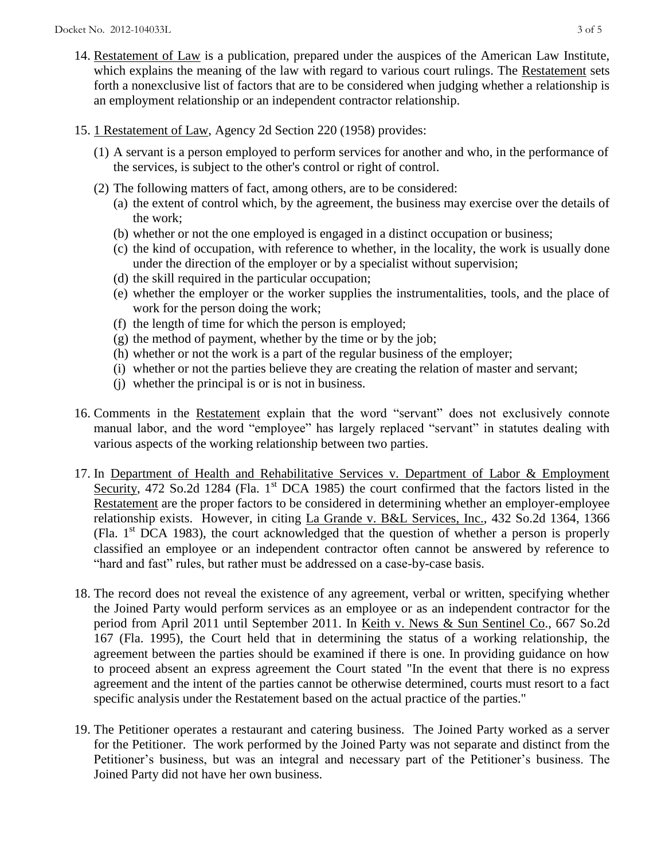- 14. Restatement of Law is a publication, prepared under the auspices of the American Law Institute, which explains the meaning of the law with regard to various court rulings. The Restatement sets forth a nonexclusive list of factors that are to be considered when judging whether a relationship is an employment relationship or an independent contractor relationship.
- 15. 1 Restatement of Law, Agency 2d Section 220 (1958) provides:
	- (1) A servant is a person employed to perform services for another and who, in the performance of the services, is subject to the other's control or right of control.
	- (2) The following matters of fact, among others, are to be considered:
		- (a) the extent of control which, by the agreement, the business may exercise over the details of the work;
		- (b) whether or not the one employed is engaged in a distinct occupation or business;
		- (c) the kind of occupation, with reference to whether, in the locality, the work is usually done under the direction of the employer or by a specialist without supervision;
		- (d) the skill required in the particular occupation;
		- (e) whether the employer or the worker supplies the instrumentalities, tools, and the place of work for the person doing the work;
		- (f) the length of time for which the person is employed;
		- $(g)$  the method of payment, whether by the time or by the job;
		- (h) whether or not the work is a part of the regular business of the employer;
		- (i) whether or not the parties believe they are creating the relation of master and servant;
		- (j) whether the principal is or is not in business.
- 16. Comments in the Restatement explain that the word "servant" does not exclusively connote manual labor, and the word "employee" has largely replaced "servant" in statutes dealing with various aspects of the working relationship between two parties.
- 17. In Department of Health and Rehabilitative Services v. Department of Labor & Employment Security, 472 So.2d 1284 (Fla. 1<sup>st</sup> DCA 1985) the court confirmed that the factors listed in the Restatement are the proper factors to be considered in determining whether an employer-employee relationship exists. However, in citing La Grande v. B&L Services, Inc., 432 So.2d 1364, 1366 (Fla. 1st DCA 1983), the court acknowledged that the question of whether a person is properly classified an employee or an independent contractor often cannot be answered by reference to "hard and fast" rules, but rather must be addressed on a case-by-case basis.
- 18. The record does not reveal the existence of any agreement, verbal or written, specifying whether the Joined Party would perform services as an employee or as an independent contractor for the period from April 2011 until September 2011. In Keith v. News & Sun Sentinel Co., 667 So.2d 167 (Fla. 1995), the Court held that in determining the status of a working relationship, the agreement between the parties should be examined if there is one. In providing guidance on how to proceed absent an express agreement the Court stated "In the event that there is no express agreement and the intent of the parties cannot be otherwise determined, courts must resort to a fact specific analysis under the Restatement based on the actual practice of the parties."
- 19. The Petitioner operates a restaurant and catering business. The Joined Party worked as a server for the Petitioner. The work performed by the Joined Party was not separate and distinct from the Petitioner's business, but was an integral and necessary part of the Petitioner's business. The Joined Party did not have her own business.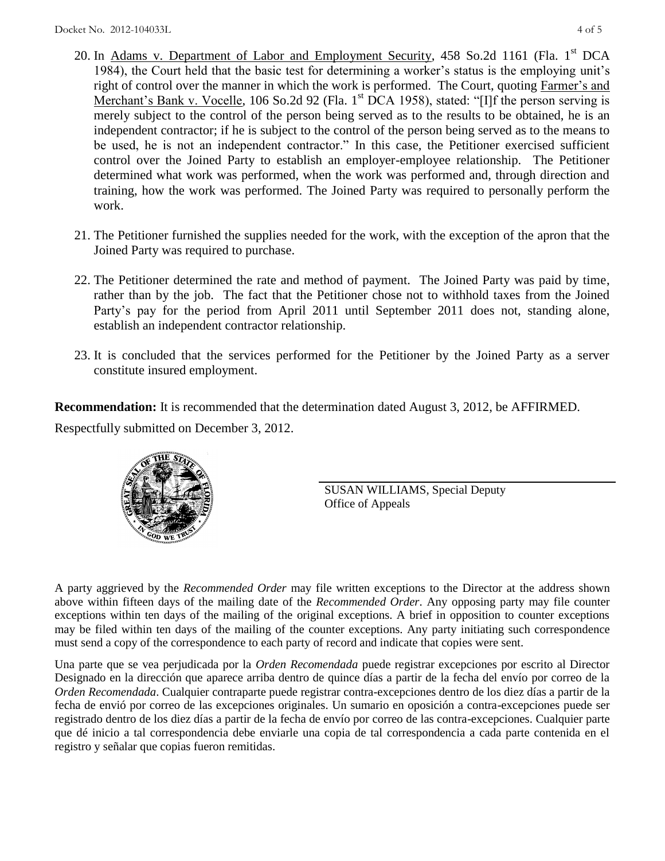- 20. In Adams v. Department of Labor and Employment Security, 458 So.2d 1161 (Fla. 1<sup>st</sup> DCA 1984), the Court held that the basic test for determining a worker's status is the employing unit's right of control over the manner in which the work is performed. The Court, quoting Farmer's and Merchant's Bank v. Vocelle, 106 So.2d 92 (Fla.  $1<sup>st</sup>$  DCA 1958), stated: "[I]f the person serving is merely subject to the control of the person being served as to the results to be obtained, he is an independent contractor; if he is subject to the control of the person being served as to the means to be used, he is not an independent contractor." In this case, the Petitioner exercised sufficient control over the Joined Party to establish an employer-employee relationship. The Petitioner determined what work was performed, when the work was performed and, through direction and training, how the work was performed. The Joined Party was required to personally perform the work.
- 21. The Petitioner furnished the supplies needed for the work, with the exception of the apron that the Joined Party was required to purchase.
- 22. The Petitioner determined the rate and method of payment. The Joined Party was paid by time, rather than by the job. The fact that the Petitioner chose not to withhold taxes from the Joined Party's pay for the period from April 2011 until September 2011 does not, standing alone, establish an independent contractor relationship.
- 23. It is concluded that the services performed for the Petitioner by the Joined Party as a server constitute insured employment.

**Recommendation:** It is recommended that the determination dated August 3, 2012, be AFFIRMED.

Respectfully submitted on December 3, 2012.



SUSAN WILLIAMS, Special Deputy Office of Appeals

A party aggrieved by the *Recommended Order* may file written exceptions to the Director at the address shown above within fifteen days of the mailing date of the *Recommended Order*. Any opposing party may file counter exceptions within ten days of the mailing of the original exceptions. A brief in opposition to counter exceptions may be filed within ten days of the mailing of the counter exceptions. Any party initiating such correspondence must send a copy of the correspondence to each party of record and indicate that copies were sent.

Una parte que se vea perjudicada por la *Orden Recomendada* puede registrar excepciones por escrito al Director Designado en la dirección que aparece arriba dentro de quince días a partir de la fecha del envío por correo de la *Orden Recomendada*. Cualquier contraparte puede registrar contra-excepciones dentro de los diez días a partir de la fecha de envió por correo de las excepciones originales. Un sumario en oposición a contra-excepciones puede ser registrado dentro de los diez días a partir de la fecha de envío por correo de las contra-excepciones. Cualquier parte que dé inicio a tal correspondencia debe enviarle una copia de tal correspondencia a cada parte contenida en el registro y señalar que copias fueron remitidas.